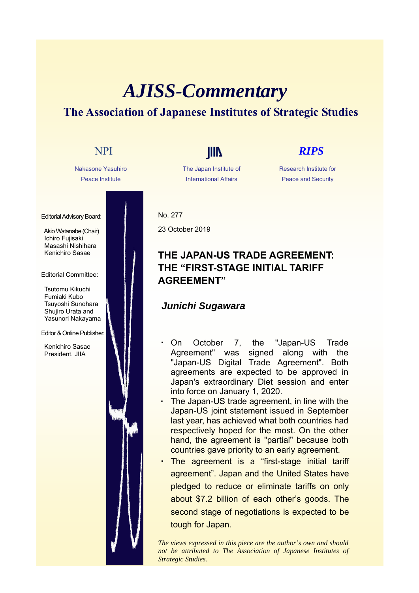# *AJISS-Commentary* **The Association of Japanese Institutes of Strategic Studies**

Nakasone Yasuhiro Peace Institute

Editorial Advisory Board:

Akio Watanabe (Chair) Ichiro Fujisaki Masashi Nishihara Kenichiro Sasae

Editorial Committee:

Tsutomu Kikuchi Fumiaki Kubo Tsuyoshi Sunohara Shujiro Urata and Yasunori Nakayama

Editor & Online Publisher:

Kenichiro Sasae President, JIIA

The Japan Institute of International Affairs

# NPI **IIII** *RIPS*

Research Institute for Peace and Security

No. 277 23 October 2019

## **THE JAPAN-US TRADE AGREEMENT: THE "FIRST-STAGE INITIAL TARIFF AGREEMENT"**

### *Junichi Sugawara*

- On October 7, the "Japan-US Trade Agreement" was signed along with the "Japan-US Digital Trade Agreement". Both agreements are expected to be approved in Japan's extraordinary Diet session and enter into force on January 1, 2020.
- The Japan-US trade agreement, in line with the Japan-US joint statement issued in September last year, has achieved what both countries had respectively hoped for the most. On the other hand, the agreement is "partial" because both countries gave priority to an early agreement.
- The agreement is a "first-stage initial tariff agreement". Japan and the United States have pledged to reduce or eliminate tariffs on only about \$7.2 billion of each other's goods. The second stage of negotiations is expected to be tough for Japan.

*The views expressed in this piece are the author's own and should not be attributed to The Association of Japanese Institutes of Strategic Studies.*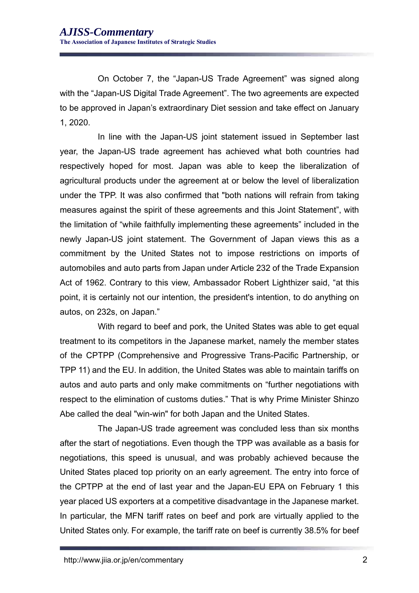On October 7, the "Japan-US Trade Agreement" was signed along with the "Japan-US Digital Trade Agreement". The two agreements are expected to be approved in Japan's extraordinary Diet session and take effect on January 1, 2020.

In line with the Japan-US joint statement issued in September last year, the Japan-US trade agreement has achieved what both countries had respectively hoped for most. Japan was able to keep the liberalization of agricultural products under the agreement at or below the level of liberalization under the TPP. It was also confirmed that "both nations will refrain from taking measures against the spirit of these agreements and this Joint Statement", with the limitation of "while faithfully implementing these agreements" included in the newly Japan-US joint statement. The Government of Japan views this as a commitment by the United States not to impose restrictions on imports of automobiles and auto parts from Japan under Article 232 of the Trade Expansion Act of 1962. Contrary to this view, Ambassador Robert Lighthizer said, "at this point, it is certainly not our intention, the president's intention, to do anything on autos, on 232s, on Japan."

With regard to beef and pork, the United States was able to get equal treatment to its competitors in the Japanese market, namely the member states of the CPTPP (Comprehensive and Progressive Trans-Pacific Partnership, or TPP 11) and the EU. In addition, the United States was able to maintain tariffs on autos and auto parts and only make commitments on "further negotiations with respect to the elimination of customs duties." That is why Prime Minister Shinzo Abe called the deal "win-win" for both Japan and the United States.

The Japan-US trade agreement was concluded less than six months after the start of negotiations. Even though the TPP was available as a basis for negotiations, this speed is unusual, and was probably achieved because the United States placed top priority on an early agreement. The entry into force of the CPTPP at the end of last year and the Japan-EU EPA on February 1 this year placed US exporters at a competitive disadvantage in the Japanese market. In particular, the MFN tariff rates on beef and pork are virtually applied to the United States only. For example, the tariff rate on beef is currently 38.5% for beef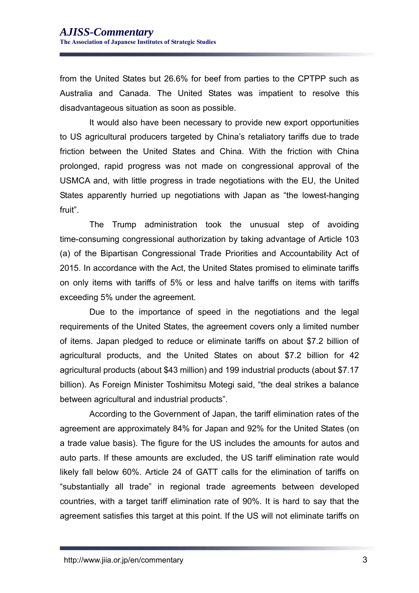from the United States but 26.6% for beef from parties to the CPTPP such as Australia and Canada. The United States was impatient to resolve this disadvantageous situation as soon as possible.

It would also have been necessary to provide new export opportunities to US agricultural producers targeted by China's retaliatory tariffs due to trade friction between the United States and China. With the friction with China prolonged, rapid progress was not made on congressional approval of the USMCA and, with little progress in trade negotiations with the EU, the United States apparently hurried up negotiations with Japan as "the lowest-hanging fruit".

The Trump administration took the unusual step of avoiding time-consuming congressional authorization by taking advantage of Article 103 (a) of the Bipartisan Congressional Trade Priorities and Accountability Act of 2015. In accordance with the Act, the United States promised to eliminate tariffs on only items with tariffs of 5% or less and halve tariffs on items with tariffs exceeding 5% under the agreement.

Due to the importance of speed in the negotiations and the legal requirements of the United States, the agreement covers only a limited number of items. Japan pledged to reduce or eliminate tariffs on about \$7.2 billion of agricultural products, and the United States on about \$7.2 billion for 42 agricultural products (about \$43 million) and 199 industrial products (about \$7.17 billion). As Foreign Minister Toshimitsu Motegi said, "the deal strikes a balance between agricultural and industrial products".

According to the Government of Japan, the tariff elimination rates of the agreement are approximately 84% for Japan and 92% for the United States (on a trade value basis). The figure for the US includes the amounts for autos and auto parts. If these amounts are excluded, the US tariff elimination rate would likely fall below 60%. Article 24 of GATT calls for the elimination of tariffs on "substantially all trade" in regional trade agreements between developed countries, with a target tariff elimination rate of 90%. It is hard to say that the agreement satisfies this target at this point. If the US will not eliminate tariffs on